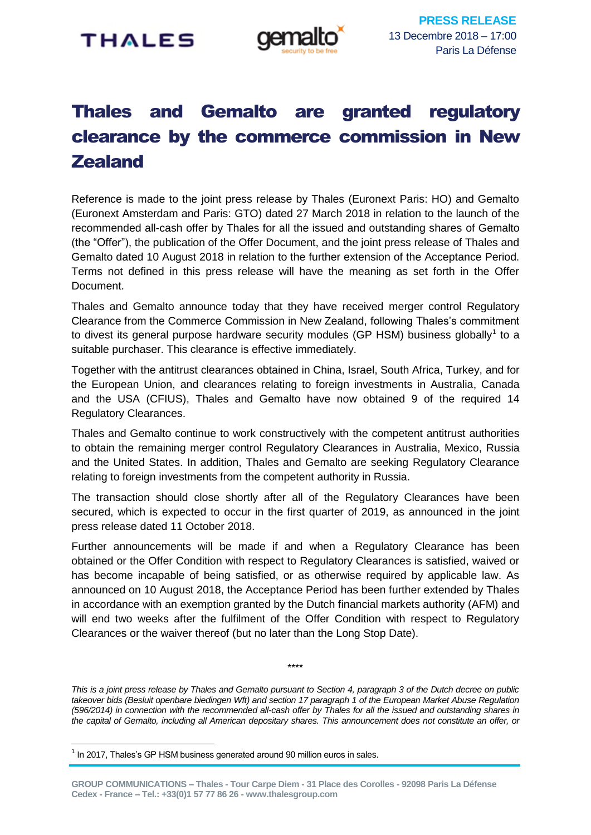

# Thales and Gemalto are granted regulatory clearance by the commerce commission in New **Zealand**

Reference is made to the joint press release by Thales (Euronext Paris: HO) and Gemalto (Euronext Amsterdam and Paris: GTO) dated 27 March 2018 in relation to the launch of the recommended all-cash offer by Thales for all the issued and outstanding shares of Gemalto (the "Offer"), the publication of the Offer Document, and the joint press release of Thales and Gemalto dated 10 August 2018 in relation to the further extension of the Acceptance Period. Terms not defined in this press release will have the meaning as set forth in the Offer Document.

Thales and Gemalto announce today that they have received merger control Regulatory Clearance from the Commerce Commission in New Zealand, following Thales's commitment to divest its general purpose hardware security modules (GP HSM) business globally<sup>1</sup> to a suitable purchaser. This clearance is effective immediately.

Together with the antitrust clearances obtained in China, Israel, South Africa, Turkey, and for the European Union, and clearances relating to foreign investments in Australia, Canada and the USA (CFIUS), Thales and Gemalto have now obtained 9 of the required 14 Regulatory Clearances.

Thales and Gemalto continue to work constructively with the competent antitrust authorities to obtain the remaining merger control Regulatory Clearances in Australia, Mexico, Russia and the United States. In addition, Thales and Gemalto are seeking Regulatory Clearance relating to foreign investments from the competent authority in Russia.

The transaction should close shortly after all of the Regulatory Clearances have been secured, which is expected to occur in the first quarter of 2019, as announced in the joint press release dated 11 October 2018.

Further announcements will be made if and when a Regulatory Clearance has been obtained or the Offer Condition with respect to Regulatory Clearances is satisfied, waived or has become incapable of being satisfied, or as otherwise required by applicable law. As announced on 10 August 2018, the Acceptance Period has been further extended by Thales in accordance with an exemption granted by the Dutch financial markets authority (AFM) and will end two weeks after the fulfilment of the Offer Condition with respect to Regulatory Clearances or the waiver thereof (but no later than the Long Stop Date).

*This is a joint press release by Thales and Gemalto pursuant to Section 4, paragraph 3 of the Dutch decree on public takeover bids (Besluit openbare biedingen Wft) and section 17 paragraph 1 of the European Market Abuse Regulation (596/2014) in connection with the recommended all-cash offer by Thales for all the issued and outstanding shares in the capital of Gemalto, including all American depositary shares. This announcement does not constitute an offer, or* 

\*\*\*\*

1

 $<sup>1</sup>$  In 2017, Thales's GP HSM business generated around 90 million euros in sales.</sup>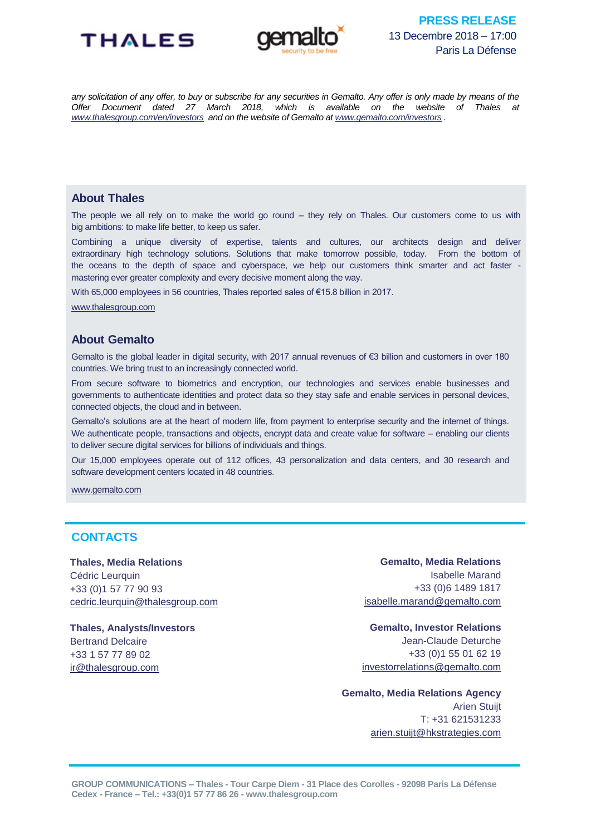



*any solicitation of any offer, to buy or subscribe for any securities in Gemalto. Any offer is only made by means of the Offer Document dated 27 March 2018, which is available on the website of Thales at [www.thalesgroup.com/en/investors](http://www.thalesgroup.com/en/investors) and on the website of Gemalto at [www.gemalto.com/investors](http://www.gemalto.com/investors) .*

## **About Thales**

The people we all rely on to make the world go round – they rely on Thales. Our customers come to us with big ambitions: to make life better, to keep us safer.

Combining a unique diversity of expertise, talents and cultures, our architects design and deliver extraordinary high technology solutions. Solutions that make tomorrow possible, today. From the bottom of the oceans to the depth of space and cyberspace, we help our customers think smarter and act faster mastering ever greater complexity and every decisive moment along the way.

With 65,000 employees in 56 countries. Thales reported sales of €15.8 billion in 2017.

[www.thalesgroup.com](http://www.thalesgroup.com/)

## **About Gemalto**

Gemalto is the global leader in digital security, with 2017 annual revenues of €3 billion and customers in over 180 countries. We bring trust to an increasingly connected world.

From secure software to biometrics and encryption, our technologies and services enable businesses and governments to authenticate identities and protect data so they stay safe and enable services in personal devices, connected objects, the cloud and in between.

Gemalto's solutions are at the heart of modern life, from payment to enterprise security and the internet of things. We authenticate people, transactions and objects, encrypt data and create value for software – enabling our clients to deliver secure digital services for billions of individuals and things.

Our 15,000 employees operate out of 112 offices, 43 personalization and data centers, and 30 research and software development centers located in 48 countries.

[www.gemalto.com](http://www.gemalto.com/)

# **CONTACTS**

**Thales, Media Relations** Cédric Leurquin +33 (0)1 57 77 90 93 [cedric.leurquin@thalesgroup.com](mailto:cedric.leurquin@thalesgroup.com)

**Thales, Analysts/Investors** Bertrand Delcaire +33 1 57 77 89 02 [ir@thalesgroup.com](mailto:ir@thalesgroup.com)

**Gemalto, Media Relations** Isabelle Marand +33 (0)6 1489 1817 [isabelle.marand@gemalto.com](mailto:isabelle.marand@gemalto.com)

**Gemalto, Investor Relations** Jean-Claude Deturche +33 (0)1 55 01 62 19 [investorrelations@gemalto.com](mailto:investorrelations@gemalto.com)

**Gemalto, Media Relations Agency** Arien Stuijt T: +31 621531233 [arien.stuijt@hkstrategies.com](mailto:arien.stuijt@hkstrategies.com)